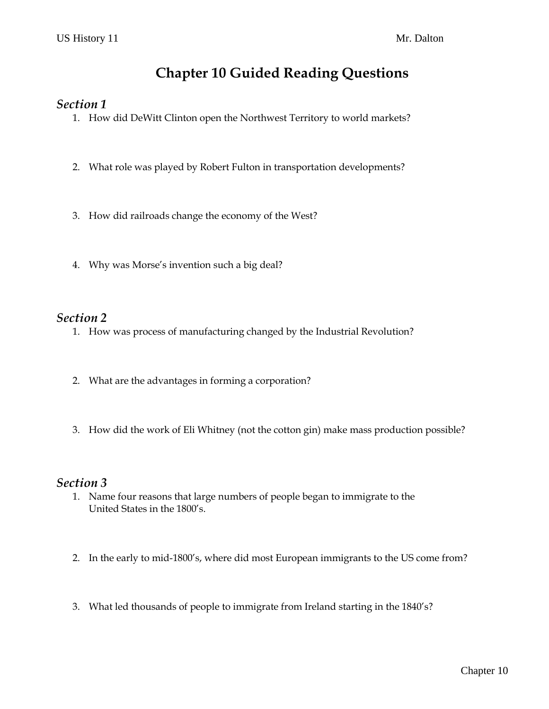# **Chapter 10 Guided Reading Questions**

#### *Section 1*

- 1. How did DeWitt Clinton open the Northwest Territory to world markets?
- 2. What role was played by Robert Fulton in transportation developments?
- 3. How did railroads change the economy of the West?
- 4. Why was Morse's invention such a big deal?

### *Section 2*

- 1. How was process of manufacturing changed by the Industrial Revolution?
- 2. What are the advantages in forming a corporation?
- 3. How did the work of Eli Whitney (not the cotton gin) make mass production possible?

#### *Section 3*

- 1. Name four reasons that large numbers of people began to immigrate to the United States in the 1800's.
- 2. In the early to mid-1800's, where did most European immigrants to the US come from?
- 3. What led thousands of people to immigrate from Ireland starting in the 1840's?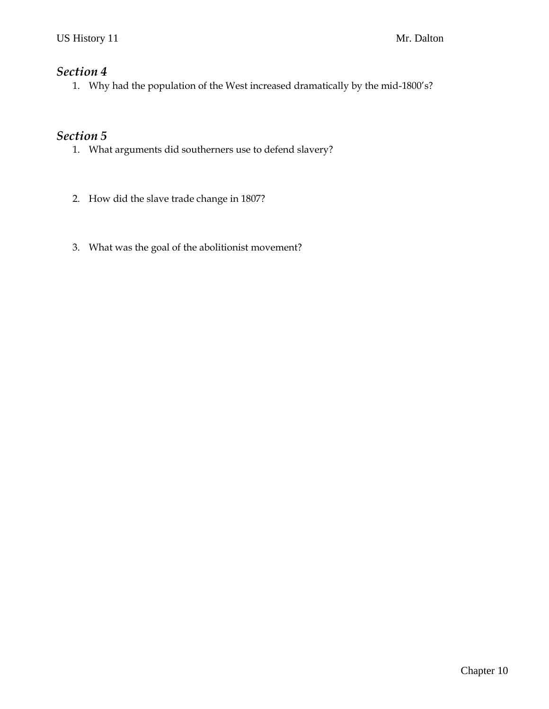### *Section 4*

1. Why had the population of the West increased dramatically by the mid-1800's?

## *Section 5*

- 1. What arguments did southerners use to defend slavery?
- 2. How did the slave trade change in 1807?
- 3. What was the goal of the abolitionist movement?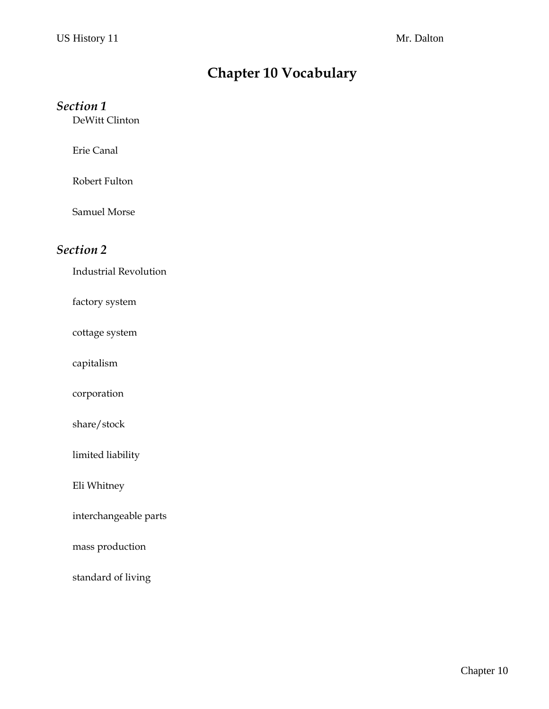# **Chapter 10 Vocabulary**

### *Section 1*

DeWitt Clinton

Erie Canal

Robert Fulton

Samuel Morse

### *Section 2*

Industrial Revolution

factory system

cottage system

capitalism

corporation

share/stock

limited liability

Eli Whitney

interchangeable parts

mass production

standard of living